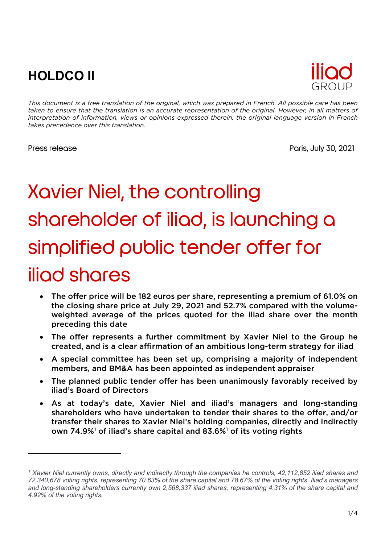## **HOLDCO II**



*This document is a free translation of the original, which was prepared in French. All possible care has been taken to ensure that the translation is an accurate representation of the original. However, in all matters of interpretation of information, views or opinions expressed therein, the original language version in French takes precedence over this translation.*

Press release **Press release** Paris, July 30, 2021

# Xavier Niel, the controlling shareholder of iliad, is launching a simplified public tender offer for iliad shares

- The offer price will be 182 euros per share, representing a premium of 61.0% on the closing share price at July 29, 2021 and 52.7% compared with the volumeweighted average of the prices quoted for the iliad share over the month preceding this date
- The offer represents a further commitment by Xavier Niel to the Group he created, and is a clear affirmation of an ambitious long-term strategy for iliad
- A special committee has been set up, comprising a majority of independent members, and BM&A has been appointed as independent appraiser
- The planned public tender offer has been unanimously favorably received by iliad's Board of Directors
- As at today's date, Xavier Niel and iliad's managers and long-standing shareholders who have undertaken to tender their shares to the offer, and/or transfer their shares to Xavier Niel's holding companies, directly and indirectly own 74.9%<sup>1</sup> of iliad's share capital and 83.6%<sup>1</sup> of its voting rights

*<sup>1</sup> Xavier Niel currently owns, directly and indirectly through the companies he controls, 42,112,852 iliad shares and 72,340,678 voting rights, representing 70.63% of the share capital and 78.67% of the voting rights. Iliad's managers and long-standing shareholders currently own 2,568,337 iliad shares, representing 4.31% of the share capital and 4.92% of the voting rights.*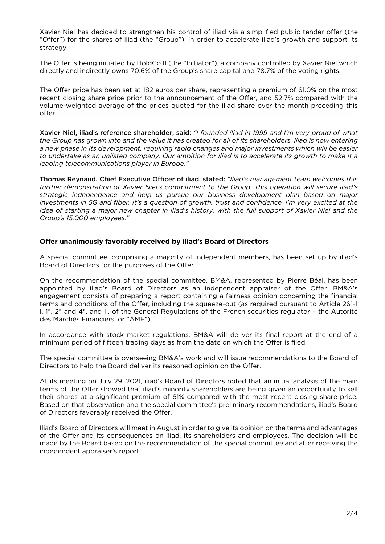Xavier Niel has decided to strengthen his control of iliad via a simplified public tender offer (the "Offer") for the shares of iliad (the "Group"), in order to accelerate iliad's growth and support its strategy.

The Offer is being initiated by HoldCo II (the "Initiator"), a company controlled by Xavier Niel which directly and indirectly owns 70.6% of the Group's share capital and 78.7% of the voting rights.

The Offer price has been set at 182 euros per share, representing a premium of 61.0% on the most recent closing share price prior to the announcement of the Offer, and 52.7% compared with the volume-weighted average of the prices quoted for the iliad share over the month preceding this offer.

Xavier Niel, iliad's reference shareholder, said: *"I founded iliad in 1999 and I'm very proud of what the Group has grown into and the value it has created for all of its shareholders. Iliad is now entering a new phase in its development, requiring rapid changes and major investments which will be easier to undertake as an unlisted company. Our ambition for iliad is to accelerate its growth to make it a leading telecommunications player in Europe."*

Thomas Reynaud, Chief Executive Officer of iliad, stated: *"Iliad's management team welcomes this further demonstration of Xavier Niel's commitment to the Group. This operation will secure iliad's strategic independence and help us pursue our business development plan based on major investments in 5G and fiber. It's a question of growth, trust and confidence. I'm very excited at the idea of starting a major new chapter in iliad's history, with the full support of Xavier Niel and the Group's 15,000 employees."*

#### **Offer unanimously favorably received by iliad's Board of Directors**

A special committee, comprising a majority of independent members, has been set up by iliad's Board of Directors for the purposes of the Offer.

On the recommendation of the special committee, BM&A, represented by Pierre Béal, has been appointed by iliad's Board of Directors as an independent appraiser of the Offer. BM&A's engagement consists of preparing a report containing a fairness opinion concerning the financial terms and conditions of the Offer, including the squeeze-out (as required pursuant to Article 261-1 I, 1°, 2° and 4°, and II, of the General Regulations of the French securities regulator – the Autorité des Marchés Financiers, or "AMF").

In accordance with stock market regulations, BM&A will deliver its final report at the end of a minimum period of fifteen trading days as from the date on which the Offer is filed.

The special committee is overseeing BM&A's work and will issue recommendations to the Board of Directors to help the Board deliver its reasoned opinion on the Offer.

At its meeting on July 29, 2021, iliad's Board of Directors noted that an initial analysis of the main terms of the Offer showed that iliad's minority shareholders are being given an opportunity to sell their shares at a significant premium of 61% compared with the most recent closing share price. Based on that observation and the special committee's preliminary recommendations, iliad's Board of Directors favorably received the Offer.

Iliad's Board of Directors will meet in August in order to give its opinion on the terms and advantages of the Offer and its consequences on iliad, its shareholders and employees. The decision will be made by the Board based on the recommendation of the special committee and after receiving the independent appraiser's report.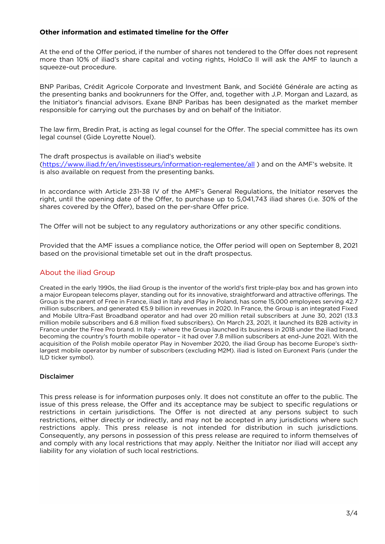#### **Other information and estimated timeline for the Offer**

At the end of the Offer period, if the number of shares not tendered to the Offer does not represent more than 10% of iliad's share capital and voting rights, HoldCo II will ask the AMF to launch a squeeze-out procedure.

BNP Paribas, Crédit Agricole Corporate and Investment Bank, and Société Générale are acting as the presenting banks and bookrunners for the Offer, and, together with J.P. Morgan and Lazard, as the Initiator's financial advisors. Exane BNP Paribas has been designated as the market member responsible for carrying out the purchases by and on behalf of the Initiator.

The law firm, Bredin Prat, is acting as legal counsel for the Offer. The special committee has its own legal counsel (Gide Loyrette Nouel).

The draft prospectus is available on iliad's website

(https://www.iliad.fr/en/investisseurs/information-reglementee/all) and on the AMF's website. It is also available on request from the presenting banks.

In accordance with Article 231-38 IV of the AMF's General Regulations, the Initiator reserves the right, until the opening date of the Offer, to purchase up to 5,041,743 iliad shares (i.e. 30% of the shares covered by the Offer), based on the per-share Offer price.

The Offer will not be subject to any regulatory authorizations or any other specific conditions.

Provided that the AMF issues a compliance notice, the Offer period will open on September 8, 2021 based on the provisional timetable set out in the draft prospectus.

#### About the iliad Group

Created in the early 1990s, the iliad Group is the inventor of the world's first triple-play box and has grown into a major European telecoms player, standing out for its innovative, straightforward and attractive offerings. The Group is the parent of Free in France, iliad in Italy and Play in Poland, has some 15,000 employees serving 42.7 million subscribers, and generated €5.9 billion in revenues in 2020. In France, the Group is an integrated Fixed and Mobile Ultra-Fast Broadband operator and had over 20 million retail subscribers at June 30, 2021 (13.3 million mobile subscribers and 6.8 million fixed subscribers). On March 23, 2021, it launched its B2B activity in France under the Free Pro brand. In Italy – where the Group launched its business in 2018 under the iliad brand, becoming the country's fourth mobile operator – it had over 7.8 million subscribers at end-June 2021. With the acquisition of the Polish mobile operator Play in November 2020, the iliad Group has become Europe's sixthlargest mobile operator by number of subscribers (excluding M2M). iliad is listed on Euronext Paris (under the ILD ticker symbol).

#### Disclaimer

This press release is for information purposes only. It does not constitute an offer to the public. The issue of this press release, the Offer and its acceptance may be subject to specific regulations or restrictions in certain jurisdictions. The Offer is not directed at any persons subject to such restrictions, either directly or indirectly, and may not be accepted in any jurisdictions where such restrictions apply. This press release is not intended for distribution in such jurisdictions. Consequently, any persons in possession of this press release are required to inform themselves of and comply with any local restrictions that may apply. Neither the Initiator nor iliad will accept any liability for any violation of such local restrictions.